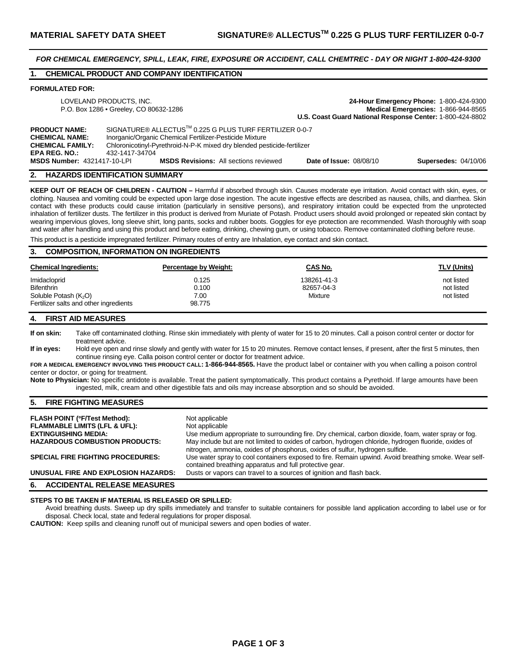*FOR CHEMICAL EMERGENCY, SPILL, LEAK, FIRE, EXPOSURE OR ACCIDENT, CALL CHEMTREC - DAY OR NIGHT 1-800-424-9300* 

## **1. CHEMICAL PRODUCT AND COMPANY IDENTIFICATION**

#### **FORMULATED FOR:**

| LOVELAND PRODUCTS, INC.<br>P.O. Box 1286 • Greeley, CO 80632-1286                                |                                                                                                                                                                                                                 | 24-Hour Emergency Phone: 1-800-424-9300<br>Medical Emergencies: 1-866-944-8565<br>U.S. Coast Guard National Response Center: 1-800-424-8802 |                             |
|--------------------------------------------------------------------------------------------------|-----------------------------------------------------------------------------------------------------------------------------------------------------------------------------------------------------------------|---------------------------------------------------------------------------------------------------------------------------------------------|-----------------------------|
| <b>PRODUCT NAME:</b><br><b>CHEMICAL NAME:</b><br><b>CHEMICAL FAMILY:</b><br><b>EPA REG. NO.:</b> | SIGNATURE® ALLECTUS™ 0.225 G PLUS TURF FERTILIZER 0-0-7<br>Inorganic/Organic Chemical Fertilizer-Pesticide Mixture<br>Chloronicotinyl-Pyrethroid-N-P-K mixed dry blended pesticide-fertilizer<br>432-1417-34704 |                                                                                                                                             |                             |
| <b>MSDS Number: 4321417-10-LPI</b>                                                               | <b>MSDS Revisions:</b> All sections reviewed                                                                                                                                                                    | <b>Date of Issue: 08/08/10</b>                                                                                                              | <b>Supersedes: 04/10/06</b> |

#### **2. HAZARDS IDENTIFICATION SUMMARY**

**KEEP OUT OF REACH OF CHILDREN - CAUTION –** Harmful if absorbed through skin. Causes moderate eye irritation. Avoid contact with skin, eyes, or clothing. Nausea and vomiting could be expected upon large dose ingestion. The acute ingestive effects are described as nausea, chills, and diarrhea. Skin contact with these products could cause irritation (particularly in sensitive persons), and respiratory irritation could be expected from the unprotected inhalation of fertilizer dusts. The fertilizer in this product is derived from Muriate of Potash. Product users should avoid prolonged or repeated skin contact by wearing impervious gloves, long sleeve shirt, long pants, socks and rubber boots. Goggles for eye protection are recommended. Wash thoroughly with soap and water after handling and using this product and before eating, drinking, chewing gum, or using tobacco. Remove contaminated clothing before reuse.

This product is a pesticide impregnated fertilizer. Primary routes of entry are Inhalation, eye contact and skin contact.

# **3. COMPOSITION, INFORMATION ON INGREDIENTS**

| <b>Chemical Ingredients:</b>           | <b>Percentage by Weight:</b> | CAS No.                   | TLV (Units)              |
|----------------------------------------|------------------------------|---------------------------|--------------------------|
| Imidacloprid<br>Bifenthrin             | 0.125<br>0.100               | 138261-41-3<br>82657-04-3 | not listed<br>not listed |
| Soluble Potash (K <sub>2</sub> O)      | 7.00                         | Mixture                   | not listed               |
| Fertilizer salts and other ingredients | 98.775                       |                           |                          |

#### **4. FIRST AID MEASURES**

**If on skin:** Take off contaminated clothing. Rinse skin immediately with plenty of water for 15 to 20 minutes. Call a poison control center or doctor for treatment advice.

**If in eyes:** Hold eye open and rinse slowly and gently with water for 15 to 20 minutes. Remove contact lenses, if present, after the first 5 minutes, then continue rinsing eye. Calla poison control center or doctor for treatment advice.

**FOR A MEDICAL EMERGENCY INVOLVING THIS PRODUCT CALL: 1-866-944-8565.** Have the product label or container with you when calling a poison control center or doctor, or going for treatment.

**Note to Physician:** No specific antidote is available. Treat the patient symptomatically. This product contains a Pyrethoid. If large amounts have been ingested, milk, cream and other digestible fats and oils may increase absorption and so should be avoided.

## **5. FIRE FIGHTING MEASURES**

| <b>FLASH POINT (°F/Test Method):</b>     | Not applicable                                                                                                                                                                       |
|------------------------------------------|--------------------------------------------------------------------------------------------------------------------------------------------------------------------------------------|
| <b>FLAMMABLE LIMITS (LFL &amp; UFL):</b> | Not applicable                                                                                                                                                                       |
| <b>EXTINGUISHING MEDIA:</b>              | Use medium appropriate to surrounding fire. Dry chemical, carbon dioxide, foam, water spray or fog.                                                                                  |
| <b>HAZARDOUS COMBUSTION PRODUCTS:</b>    | May include but are not limited to oxides of carbon, hydrogen chloride, hydrogen fluoride, oxides of<br>nitrogen, ammonia, oxides of phosphorus, oxides of sulfur, hydrogen sulfide. |
| <b>SPECIAL FIRE FIGHTING PROCEDURES:</b> | Use water spray to cool containers exposed to fire. Remain upwind. Avoid breathing smoke. Wear self-<br>contained breathing apparatus and full protective gear.                      |
| UNUSUAL FIRE AND EXPLOSION HAZARDS:      | Dusts or vapors can travel to a sources of ignition and flash back.                                                                                                                  |
|                                          |                                                                                                                                                                                      |

#### **6. ACCIDENTAL RELEASE MEASURES**

#### **STEPS TO BE TAKEN IF MATERIAL IS RELEASED OR SPILLED:**

Avoid breathing dusts. Sweep up dry spills immediately and transfer to suitable containers for possible land application according to label use or for disposal. Check local, state and federal regulations for proper disposal.

**CAUTION:** Keep spills and cleaning runoff out of municipal sewers and open bodies of water.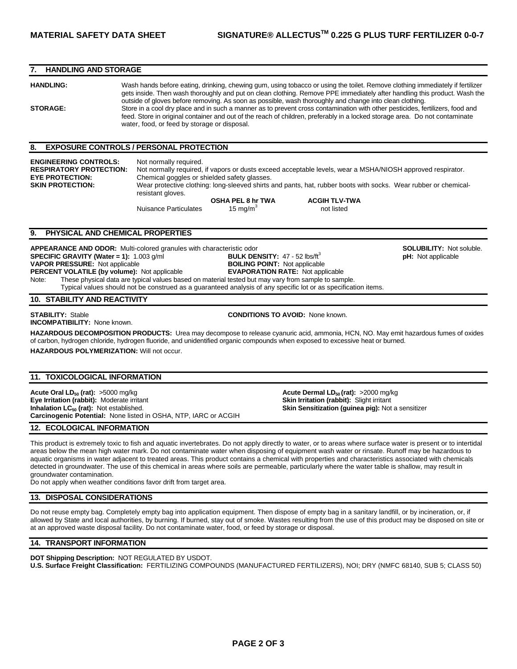## **7. HANDLING AND STORAGE**

**HANDLING:** Wash hands before eating, drinking, chewing gum, using tobacco or using the toilet. Remove clothing immediately if fertilizer gets inside. Then wash thoroughly and put on clean clothing. Remove PPE immediately after handling this product. Wash the outside of gloves before removing. As soon as possible, wash thoroughly and change into clean clothing. **STORAGE:** Store in a cool dry place and in such a manner as to prevent cross contamination with other pesticides, fertilizers, food and feed. Store in original container and out of the reach of children, preferably in a locked storage area. Do not contaminate water, food, or feed by storage or disposal.

#### **8. EXPOSURE CONTROLS / PERSONAL PROTECTION**

**ENGINEERING CONTROLS:** Not normally required. **RESPIRATORY PROTECTION:** Not normally required, if vapors or dusts exceed acceptable levels, wear a MSHA/NIOSH approved respirator. **EYE PROTECTION:** Chemical goggles or shielded safety glasses.<br> **SKIN PROTECTION:** Wear protective clothing: long-sleeved shirts Wear protective clothing: long-sleeved shirts and pants, hat, rubber boots with socks. Wear rubber or chemicalresistant gloves.

Nuisance Particulates 15 mg/m<sup>3</sup>

**OSHA PEL 8 hr TWA ACGIH TLV-TWA**  not listed

## **9. PHYSICAL AND CHEMICAL PROPERTIES**

**APPEARANCE AND ODOR:** Multi-colored granules with characteristic odor **SOLUBICITY: 17 - 52 lbs/ft<sup>3</sup> SOLUBILITY: Not soluble.**<br> **SPECIFIC GRAVITY (Water = 1):** 1.003 g/ml **BULK DENSITY:** 47 - 52 lbs/ft<sup>3</sup> pH: Not applicab **SPECIFIC GRAVITY (Water = 1):** 1.003 g/ml **BULK DENSITY:** 47 - 52 lbs/ft<sup>3</sup> **PHESSURE:** Not applicable **property BOILING POINT:** Not applicable **VAPOR PRESSURE:** Not applicable **PERCENT VOLATILE (by volume):** Not applicable **EVAPORATION RATE:** Not applicable Note: These physical data are typical values based on material tested but may vary from sample to sample. Typical values should not be construed as a guaranteed analysis of any specific lot or as specification items.

## **10. STABILITY AND REACTIVITY**

**INCOMPATIBILITY:** None known.

**STABILITY:** Stable **CONDITIONS TO AVOID:** None known.

**HAZARDOUS DECOMPOSITION PRODUCTS:** Urea may decompose to release cyanuric acid, ammonia, HCN, NO. May emit hazardous fumes of oxides of carbon, hydrogen chloride, hydrogen fluoride, and unidentified organic compounds when exposed to excessive heat or burned. **HAZARDOUS POLYMERIZATION:** Will not occur.

#### **11. TOXICOLOGICAL INFORMATION**

**Acute Oral LD<sub>50</sub> (rat):**  $>5000$  mg/kg **Acute Dermal LD<sub>50</sub> (rat):**  $>2000$  mg/kg **Eye Irritation (rabbit):** Moderate irritant **Skin Irritation (rabbit):** Slight irritant **Inhalation LC<sub>50</sub> (rat):** Not established. **Skin Sensitization (guinea pig):** Not a sensitizer **Carcinogenic Potential:** None listed in OSHA, NTP, IARC or ACGIH

#### **12. ECOLOGICAL INFORMATION**

This product is extremely toxic to fish and aquatic invertebrates. Do not apply directly to water, or to areas where surface water is present or to intertidal areas below the mean high water mark. Do not contaminate water when disposing of equipment wash water or rinsate. Runoff may be hazardous to aquatic organisms in water adjacent to treated areas. This product contains a chemical with properties and characteristics associated with chemicals detected in groundwater. The use of this chemical in areas where soils are permeable, particularly where the water table is shallow, may result in groundwater contamination.

Do not apply when weather conditions favor drift from target area.

#### **13. DISPOSAL CONSIDERATIONS**

Do not reuse empty bag. Completely empty bag into application equipment. Then dispose of empty bag in a sanitary landfill, or by incineration, or, if allowed by State and local authorities, by burning. If burned, stay out of smoke. Wastes resulting from the use of this product may be disposed on site or at an approved waste disposal facility. Do not contaminate water, food, or feed by storage or disposal.

## **14. TRANSPORT INFORMATION**

**DOT Shipping Description:** NOT REGULATED BY USDOT.

**U.S. Surface Freight Classification:** FERTILIZING COMPOUNDS (MANUFACTURED FERTILIZERS), NOI; DRY (NMFC 68140, SUB 5; CLASS 50)